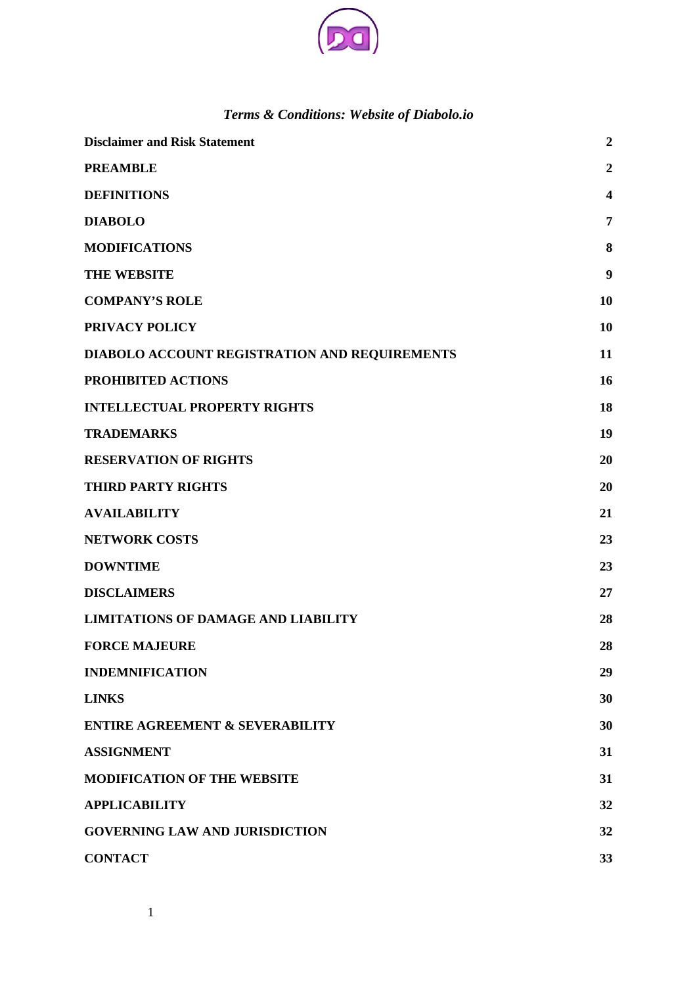

# *Terms & Conditions: Website of Diabolo.io*

| <b>Disclaimer and Risk Statement</b>          | $\overline{2}$ |
|-----------------------------------------------|----------------|
| <b>PREAMBLE</b>                               | $\overline{2}$ |
| <b>DEFINITIONS</b>                            | 4              |
| <b>DIABOLO</b>                                | 7              |
| <b>MODIFICATIONS</b>                          | 8              |
| <b>THE WEBSITE</b>                            | 9              |
| <b>COMPANY'S ROLE</b>                         | 10             |
| PRIVACY POLICY                                | 10             |
| DIABOLO ACCOUNT REGISTRATION AND REQUIREMENTS | 11             |
| PROHIBITED ACTIONS                            | 16             |
| <b>INTELLECTUAL PROPERTY RIGHTS</b>           | 18             |
| <b>TRADEMARKS</b>                             | 19             |
| <b>RESERVATION OF RIGHTS</b>                  | 20             |
| <b>THIRD PARTY RIGHTS</b>                     | 20             |
| <b>AVAILABILITY</b>                           | 21             |
| <b>NETWORK COSTS</b>                          | 23             |
| <b>DOWNTIME</b>                               | 23             |
| <b>DISCLAIMERS</b>                            | 27             |
| <b>LIMITATIONS OF DAMAGE AND LIABILITY</b>    | 28             |
| <b>FORCE MAJEURE</b>                          | 28             |
| <b>INDEMNIFICATION</b>                        | 29             |
| <b>LINKS</b>                                  | 30             |
| <b>ENTIRE AGREEMENT &amp; SEVERABILITY</b>    | 30             |
| <b>ASSIGNMENT</b>                             | 31             |
| <b>MODIFICATION OF THE WEBSITE</b>            | 31             |
| <b>APPLICABILITY</b>                          | 32             |
| <b>GOVERNING LAW AND JURISDICTION</b>         | 32             |
| <b>CONTACT</b>                                | 33             |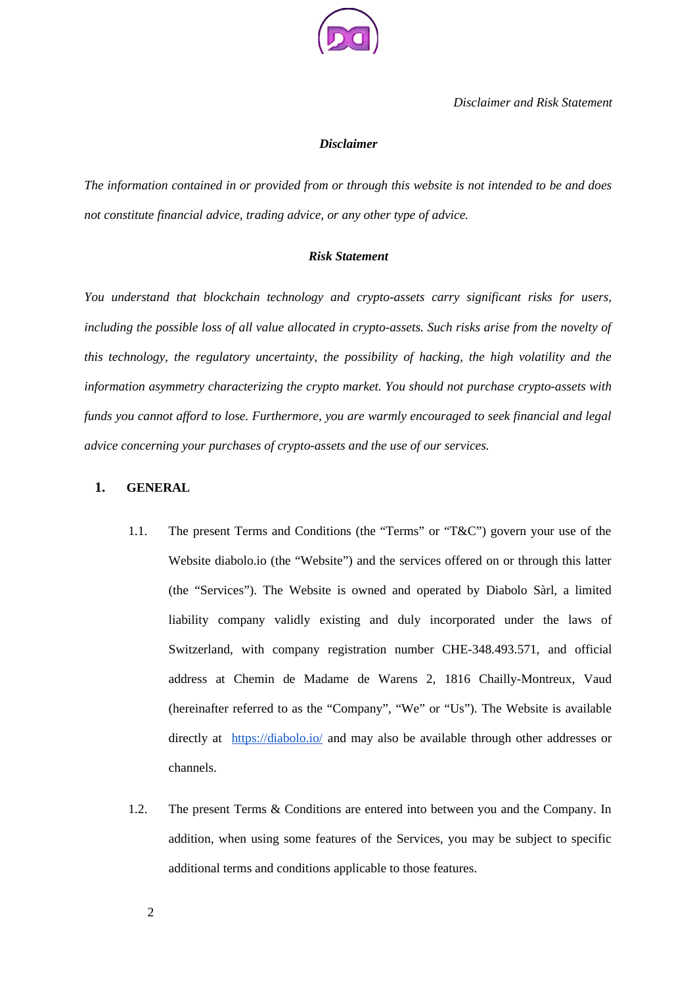

#### <span id="page-1-0"></span>*Disclaimer*

*The information contained in or provided from or through this website is not intended to be and does not constitute financial advice, trading advice, or any other type of advice.* 

#### *Risk Statement*

*You understand that blockchain technology and crypto-assets carry significant risks for users, including the possible loss of all value allocated in crypto-assets. Such risks arise from the novelty of this technology, the regulatory uncertainty, the possibility of hacking, the high volatility and the information asymmetry characterizing the crypto market. You should not purchase crypto-assets with funds you cannot afford to lose. Furthermore, you are warmly encouraged to seek financial and legal advice concerning your purchases of crypto-assets and the use of our services.*

### **1. GENERAL**

- 1.1. The present Terms and Conditions (the "Terms" or "T&C") govern your use of the Website diabolo.io (the "Website") and the services offered on or through this latter (the "Services"). The Website is owned and operated by Diabolo Sàrl, a limited liability company validly existing and duly incorporated under the laws of Switzerland, with company registration number CHE-348.493.571, and official address at Chemin de Madame de Warens 2, 1816 Chailly-Montreux, Vaud (hereinafter referred to as the "Company", "We" or "Us"). The Website is available directly at https://diabolo.io/ and may also be available through other addresses or channels.
- 1.2. The present Terms & Conditions are entered into between you and the Company. In addition, when using some features of the Services, you may be subject to specific additional terms and conditions applicable to those features.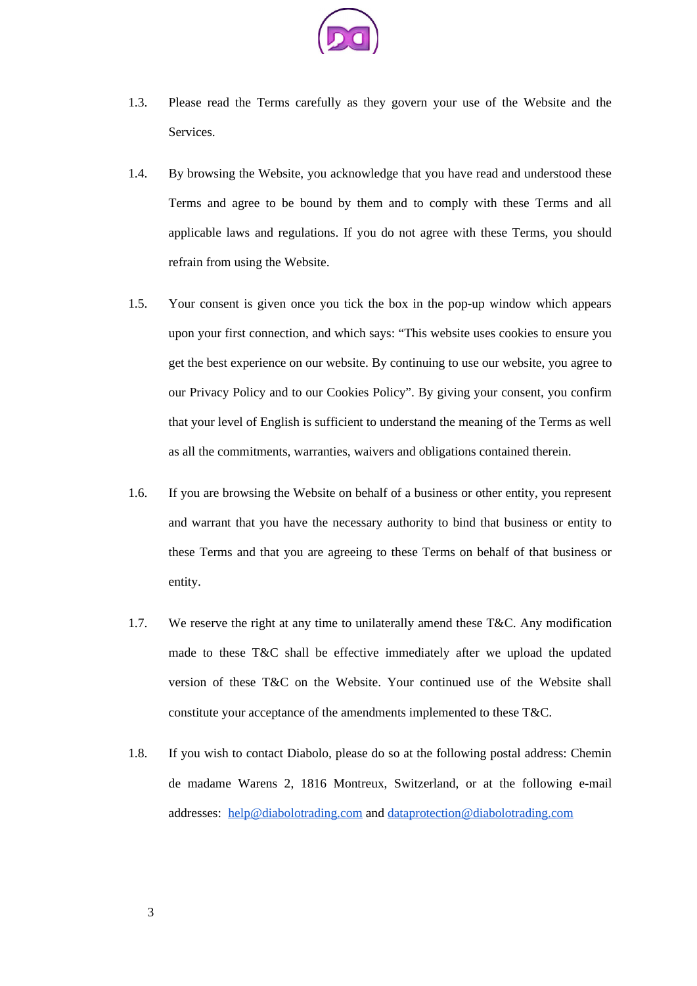

- 1.3. Please read the Terms carefully as they govern your use of the Website and the Services.
- 1.4. By browsing the Website, you acknowledge that you have read and understood these Terms and agree to be bound by them and to comply with these Terms and all applicable laws and regulations. If you do not agree with these Terms, you should refrain from using the Website.
- 1.5. Your consent is given once you tick the box in the pop-up window which appears upon your first connection, and which says: "This website uses cookies to ensure you get the best experience on our website. By continuing to use our website, you agree to our Privacy Policy and to our Cookies Policy". By giving your consent, you confirm that your level of English is sufficient to understand the meaning of the Terms as well as all the commitments, warranties, waivers and obligations contained therein.
- 1.6. If you are browsing the Website on behalf of a business or other entity, you represent and warrant that you have the necessary authority to bind that business or entity to these Terms and that you are agreeing to these Terms on behalf of that business or entity.
- 1.7. We reserve the right at any time to unilaterally amend these T&C. Any modification made to these T&C shall be effective immediately after we upload the updated version of these T&C on the Website. Your continued use of the Website shall constitute your acceptance of the amendments implemented to these T&C.
- 1.8. If you wish to contact Diabolo, please do so at the following postal address: Chemin de madame Warens 2, 1816 Montreux, Switzerland, or at the following e-mail addresses: help@diabolotrading.com and dataprotection@diabolotrading.com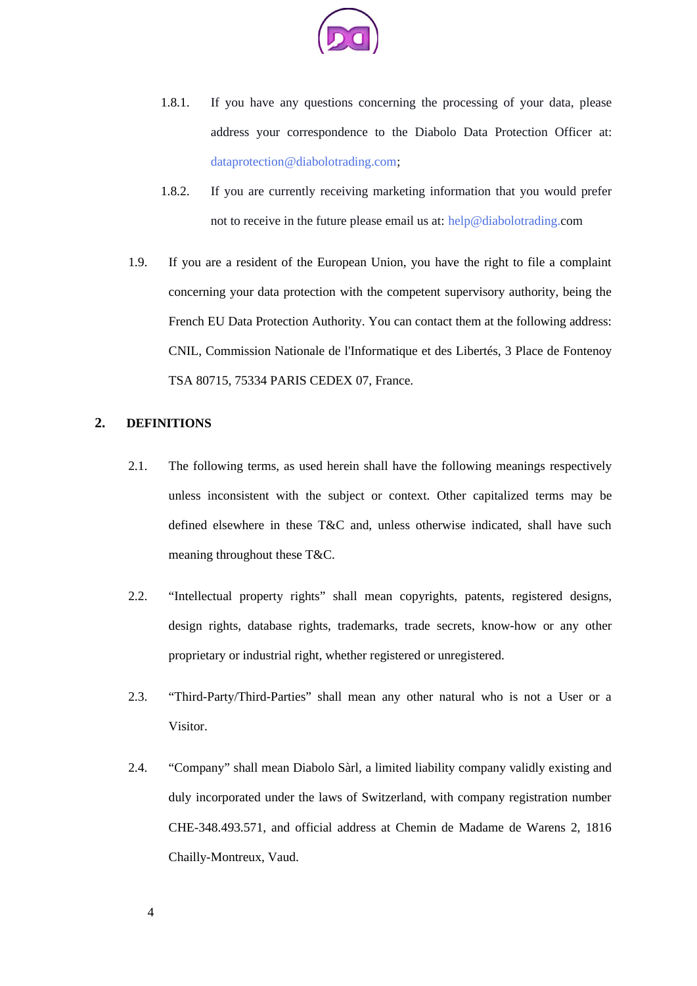

- 1.8.1. If you have any questions concerning the processing of your data, please address your correspondence to the Diabolo Data Protection Officer at: dataprotection@diabolotrading.com;
- 1.8.2. If you are currently receiving marketing information that you would prefer not to receive in the future please email us at: help@diabolotrading.com
- 1.9. If you are a resident of the European Union, you have the right to file a complaint concerning your data protection with the competent supervisory authority, being the French EU Data Protection Authority. You can contact them at the following address: CNIL, Commission Nationale de l'Informatique et des Libertés, 3 Place de Fontenoy TSA 80715, 75334 PARIS CEDEX 07, France.

# **2. DEFINITIONS**

- 2.1. The following terms, as used herein shall have the following meanings respectively unless inconsistent with the subject or context. Other capitalized terms may be defined elsewhere in these T&C and, unless otherwise indicated, shall have such meaning throughout these T&C.
- 2.2. "Intellectual property rights" shall mean copyrights, patents, registered designs, design rights, database rights, trademarks, trade secrets, know-how or any other proprietary or industrial right, whether registered or unregistered.
- 2.3. "Third-Party/Third-Parties" shall mean any other natural who is not a User or a Visitor.
- 2.4. "Company" shall mean Diabolo Sàrl, a limited liability company validly existing and duly incorporated under the laws of Switzerland, with company registration number CHE-348.493.571, and official address at Chemin de Madame de Warens 2, 1816 Chailly-Montreux, Vaud.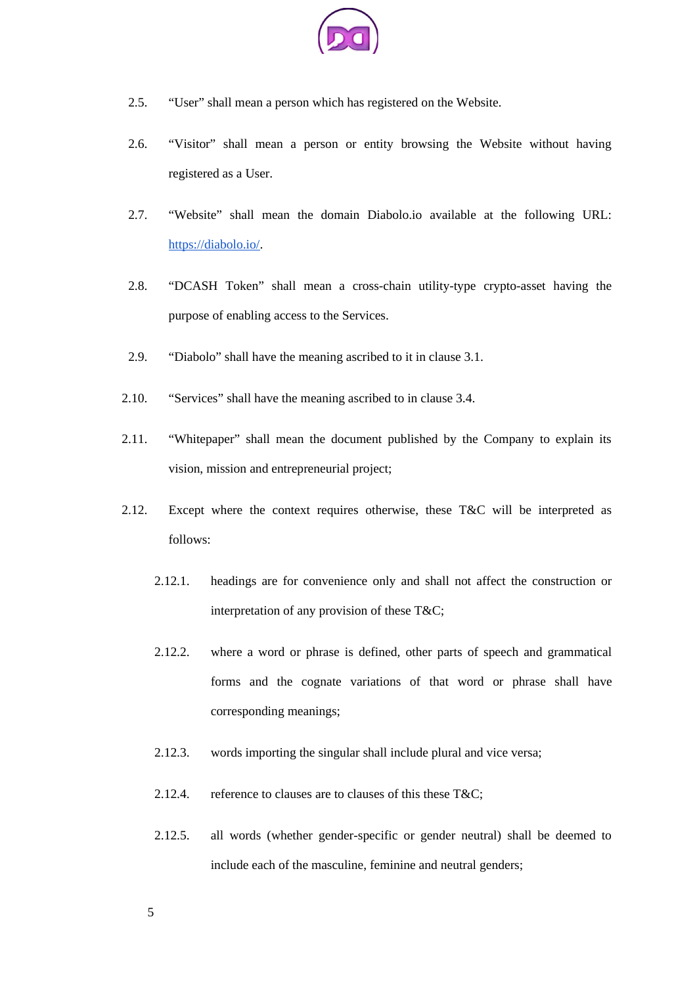

- 2.5. "User" shall mean a person which has registered on the Website.
- 2.6. "Visitor" shall mean a person or entity browsing the Website without having registered as a User.
- 2.7. "Website" shall mean the domain Diabolo.io available at the following URL: https://diabolo.io/.
- 2.8. "DCASH Token" shall mean a cross-chain utility-type crypto-asset having the purpose of enabling access to the Services.
- 2.9. "Diabolo" shall have the meaning ascribed to it in clause 3.1.
- 2.10. "Services" shall have the meaning ascribed to in clause 3.4.
- 2.11. "Whitepaper" shall mean the document published by the Company to explain its vision, mission and entrepreneurial project;
- 2.12. Except where the context requires otherwise, these T&C will be interpreted as follows:
	- 2.12.1. headings are for convenience only and shall not affect the construction or interpretation of any provision of these T&C;
	- 2.12.2. where a word or phrase is defined, other parts of speech and grammatical forms and the cognate variations of that word or phrase shall have corresponding meanings;
	- 2.12.3. words importing the singular shall include plural and vice versa;
	- 2.12.4. reference to clauses are to clauses of this these T&C;
	- 2.12.5. all words (whether gender-specific or gender neutral) shall be deemed to include each of the masculine, feminine and neutral genders;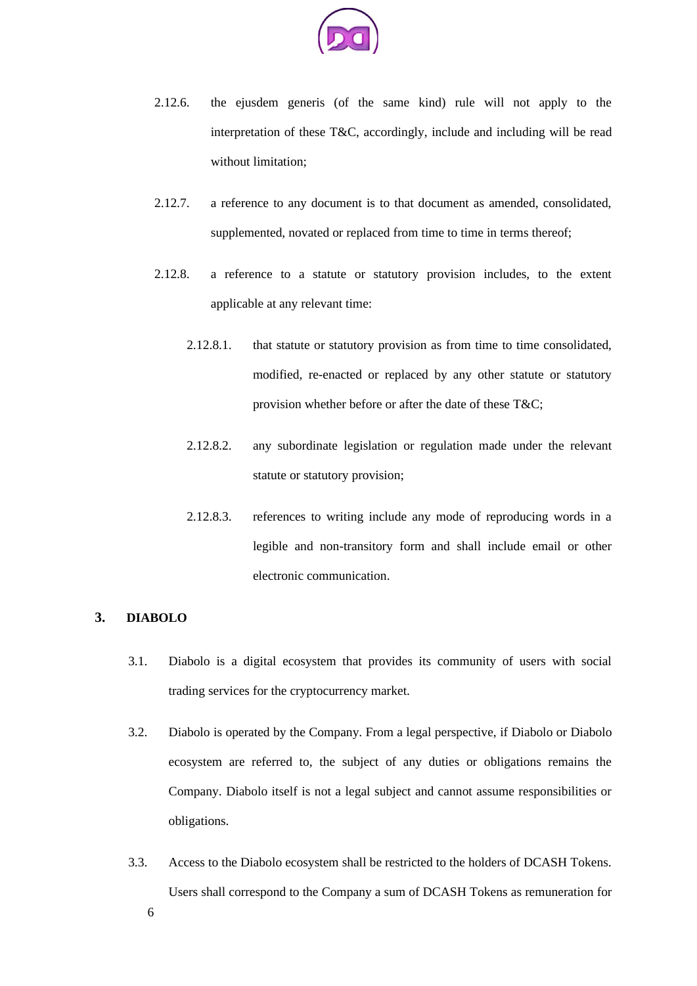

- 2.12.6. the ejusdem generis (of the same kind) rule will not apply to the interpretation of these T&C, accordingly, include and including will be read without limitation;
- 2.12.7. a reference to any document is to that document as amended, consolidated, supplemented, novated or replaced from time to time in terms thereof;
- 2.12.8. a reference to a statute or statutory provision includes, to the extent applicable at any relevant time:
	- 2.12.8.1. that statute or statutory provision as from time to time consolidated, modified, re-enacted or replaced by any other statute or statutory provision whether before or after the date of these T&C;
	- 2.12.8.2. any subordinate legislation or regulation made under the relevant statute or statutory provision;
	- 2.12.8.3. references to writing include any mode of reproducing words in a legible and non-transitory form and shall include email or other electronic communication.

### **3. DIABOLO**

- 3.1. Diabolo is a digital ecosystem that provides its community of users with social trading services for the cryptocurrency market.
- 3.2. Diabolo is operated by the Company. From a legal perspective, if Diabolo or Diabolo ecosystem are referred to, the subject of any duties or obligations remains the Company. Diabolo itself is not a legal subject and cannot assume responsibilities or obligations.
- 3.3. Access to the Diabolo ecosystem shall be restricted to the holders of DCASH Tokens. Users shall correspond to the Company a sum of DCASH Tokens as remuneration for 6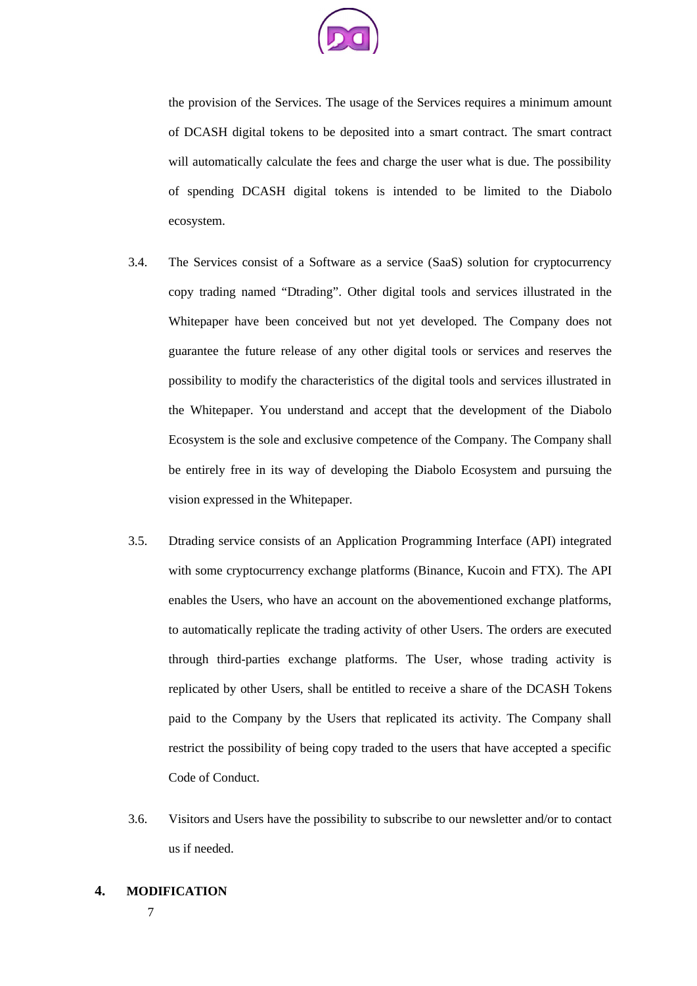

the provision of the Services. The usage of the Services requires a minimum amount of DCASH digital tokens to be deposited into a smart contract. The smart contract will automatically calculate the fees and charge the user what is due. The possibility of spending DCASH digital tokens is intended to be limited to the Diabolo ecosystem.

- 3.4. The Services consist of a Software as a service (SaaS) solution for cryptocurrency copy trading named "Dtrading". Other digital tools and services illustrated in the Whitepaper have been conceived but not yet developed. The Company does not guarantee the future release of any other digital tools or services and reserves the possibility to modify the characteristics of the digital tools and services illustrated in the Whitepaper. You understand and accept that the development of the Diabolo Ecosystem is the sole and exclusive competence of the Company. The Company shall be entirely free in its way of developing the Diabolo Ecosystem and pursuing the vision expressed in the Whitepaper.
- 3.5. Dtrading service consists of an Application Programming Interface (API) integrated with some cryptocurrency exchange platforms (Binance, Kucoin and FTX). The API enables the Users, who have an account on the abovementioned exchange platforms, to automatically replicate the trading activity of other Users. The orders are executed through third-parties exchange platforms. The User, whose trading activity is replicated by other Users, shall be entitled to receive a share of the DCASH Tokens paid to the Company by the Users that replicated its activity. The Company shall restrict the possibility of being copy traded to the users that have accepted a specific Code of Conduct.
- 3.6. Visitors and Users have the possibility to subscribe to our newsletter and/or to contact us if needed.
- **4. MODIFICATION**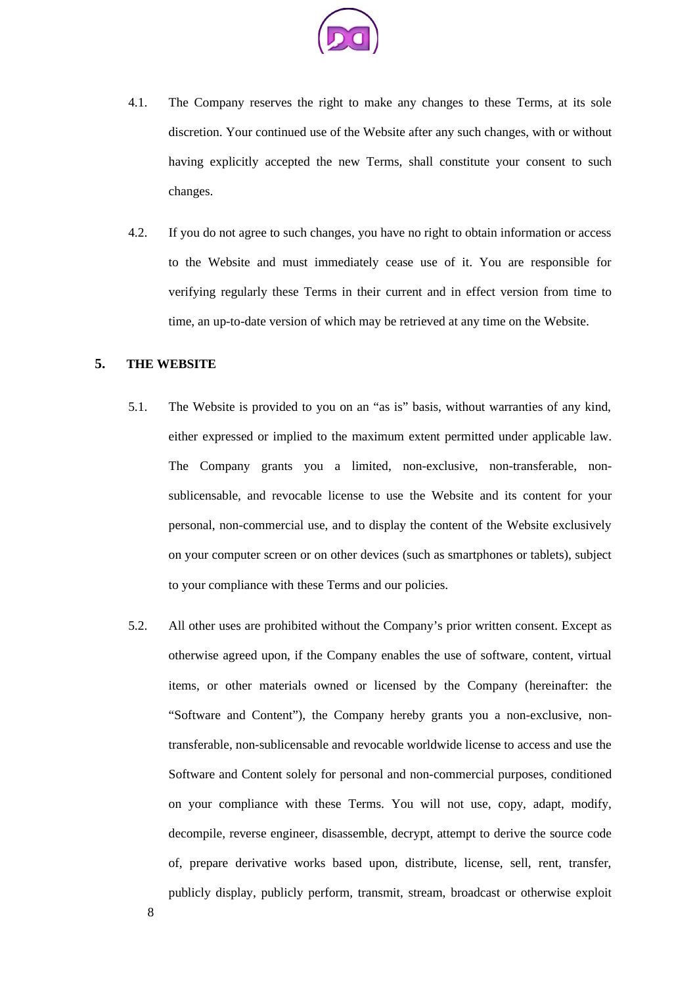

- 4.1. The Company reserves the right to make any changes to these Terms, at its sole discretion. Your continued use of the Website after any such changes, with or without having explicitly accepted the new Terms, shall constitute your consent to such changes.
- 4.2. If you do not agree to such changes, you have no right to obtain information or access to the Website and must immediately cease use of it. You are responsible for verifying regularly these Terms in their current and in effect version from time to time, an up-to-date version of which may be retrieved at any time on the Website.

### **5. THE WEBSITE**

- 5.1. The Website is provided to you on an "as is" basis, without warranties of any kind, either expressed or implied to the maximum extent permitted under applicable law. The Company grants you a limited, non-exclusive, non-transferable, nonsublicensable, and revocable license to use the Website and its content for your personal, non-commercial use, and to display the content of the Website exclusively on your computer screen or on other devices (such as smartphones or tablets), subject to your compliance with these Terms and our policies.
- 5.2. All other uses are prohibited without the Company's prior written consent. Except as otherwise agreed upon, if the Company enables the use of software, content, virtual items, or other materials owned or licensed by the Company (hereinafter: the "Software and Content"), the Company hereby grants you a non-exclusive, nontransferable, non-sublicensable and revocable worldwide license to access and use the Software and Content solely for personal and non-commercial purposes, conditioned on your compliance with these Terms. You will not use, copy, adapt, modify, decompile, reverse engineer, disassemble, decrypt, attempt to derive the source code of, prepare derivative works based upon, distribute, license, sell, rent, transfer, publicly display, publicly perform, transmit, stream, broadcast or otherwise exploit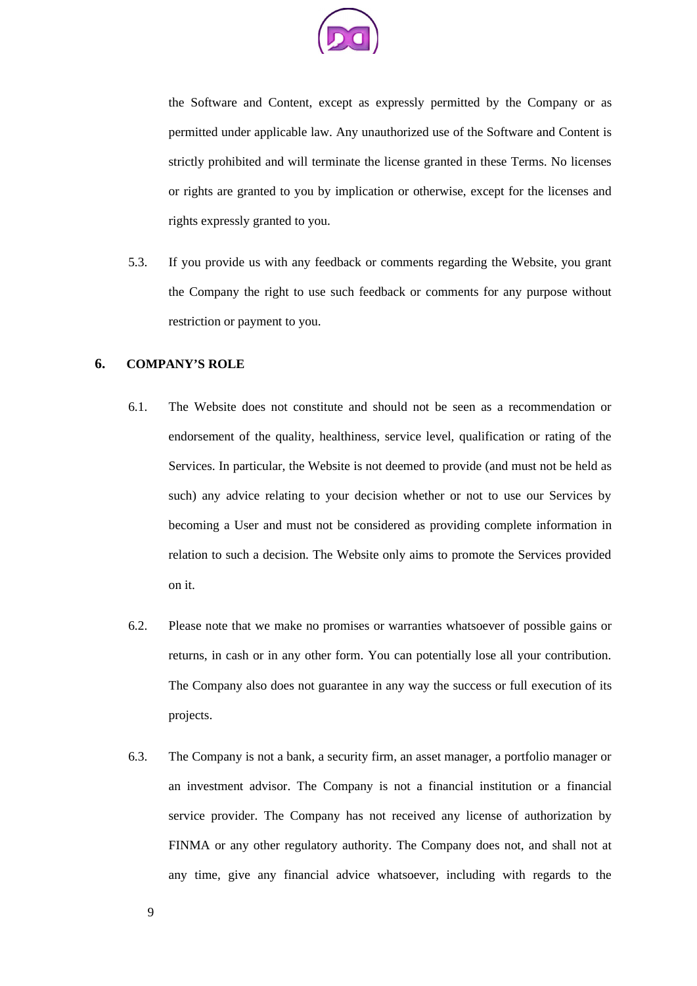

the Software and Content, except as expressly permitted by the Company or as permitted under applicable law. Any unauthorized use of the Software and Content is strictly prohibited and will terminate the license granted in these Terms. No licenses or rights are granted to you by implication or otherwise, except for the licenses and rights expressly granted to you.

5.3. If you provide us with any feedback or comments regarding the Website, you grant the Company the right to use such feedback or comments for any purpose without restriction or payment to you.

# **6. COMPANY'S ROLE**

- 6.1. The Website does not constitute and should not be seen as a recommendation or endorsement of the quality, healthiness, service level, qualification or rating of the Services. In particular, the Website is not deemed to provide (and must not be held as such) any advice relating to your decision whether or not to use our Services by becoming a User and must not be considered as providing complete information in relation to such a decision. The Website only aims to promote the Services provided on it.
- 6.2. Please note that we make no promises or warranties whatsoever of possible gains or returns, in cash or in any other form. You can potentially lose all your contribution. The Company also does not guarantee in any way the success or full execution of its projects.
- 6.3. The Company is not a bank, a security firm, an asset manager, a portfolio manager or an investment advisor. The Company is not a financial institution or a financial service provider. The Company has not received any license of authorization by FINMA or any other regulatory authority. The Company does not, and shall not at any time, give any financial advice whatsoever, including with regards to the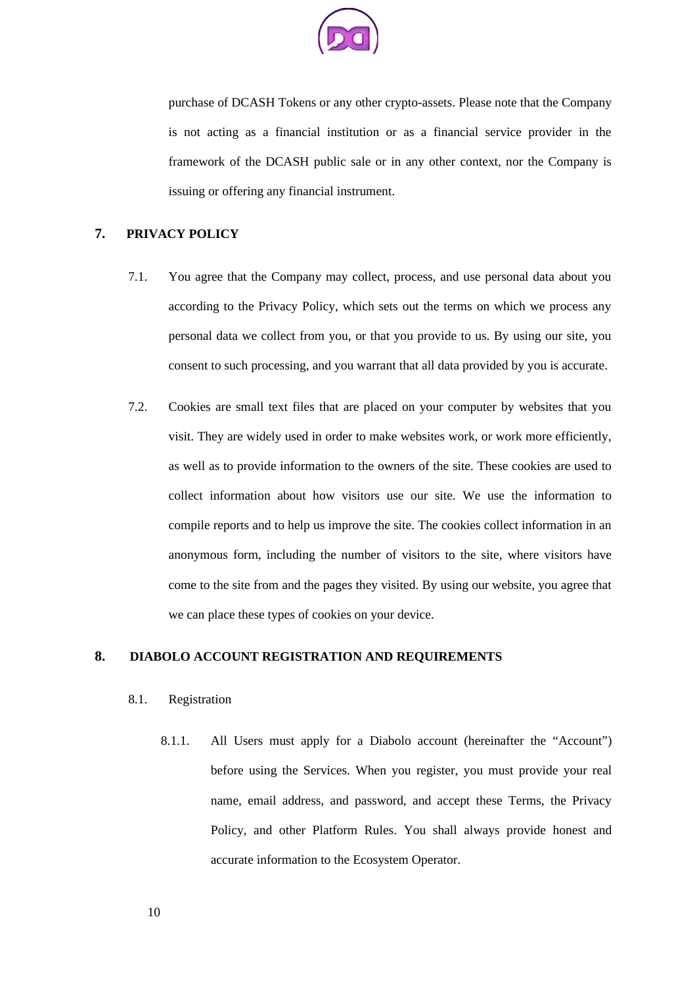

purchase of DCASH Tokens or any other crypto-assets. Please note that the Company is not acting as a financial institution or as a financial service provider in the framework of the DCASH public sale or in any other context, nor the Company is issuing or offering any financial instrument.

### **7. PRIVACY POLICY**

- 7.1. You agree that the Company may collect, process, and use personal data about you according to the Privacy Policy, which sets out the terms on which we process any personal data we collect from you, or that you provide to us. By using our site, you consent to such processing, and you warrant that all data provided by you is accurate.
- 7.2. Cookies are small text files that are placed on your computer by websites that you visit. They are widely used in order to make websites work, or work more efficiently, as well as to provide information to the owners of the site. These cookies are used to collect information about how visitors use our site. We use the information to compile reports and to help us improve the site. The cookies collect information in an anonymous form, including the number of visitors to the site, where visitors have come to the site from and the pages they visited. By using our website, you agree that we can place these types of cookies on your device.

### **8. DIABOLO ACCOUNT REGISTRATION AND REQUIREMENTS**

#### 8.1. Registration

8.1.1. All Users must apply for a Diabolo account (hereinafter the "Account") before using the Services. When you register, you must provide your real name, email address, and password, and accept these Terms, the Privacy Policy, and other Platform Rules. You shall always provide honest and accurate information to the Ecosystem Operator.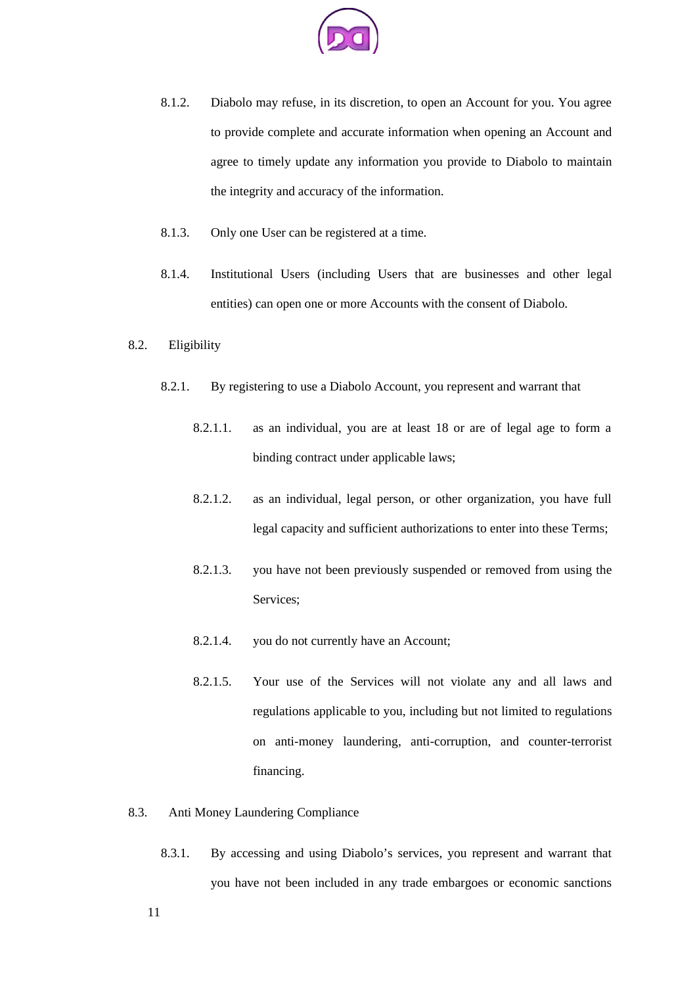

- 8.1.2. Diabolo may refuse, in its discretion, to open an Account for you. You agree to provide complete and accurate information when opening an Account and agree to timely update any information you provide to Diabolo to maintain the integrity and accuracy of the information.
- 8.1.3. Only one User can be registered at a time.
- 8.1.4. Institutional Users (including Users that are businesses and other legal entities) can open one or more Accounts with the consent of Diabolo.
- 8.2. Eligibility
	- 8.2.1. By registering to use a Diabolo Account, you represent and warrant that
		- 8.2.1.1. as an individual, you are at least 18 or are of legal age to form a binding contract under applicable laws;
		- 8.2.1.2. as an individual, legal person, or other organization, you have full legal capacity and sufficient authorizations to enter into these Terms;
		- 8.2.1.3. you have not been previously suspended or removed from using the Services;
		- 8.2.1.4. you do not currently have an Account;
		- 8.2.1.5. Your use of the Services will not violate any and all laws and regulations applicable to you, including but not limited to regulations on anti-money laundering, anti-corruption, and counter-terrorist financing.
- 8.3. Anti Money Laundering Compliance
	- 8.3.1. By accessing and using Diabolo's services, you represent and warrant that you have not been included in any trade embargoes or economic sanctions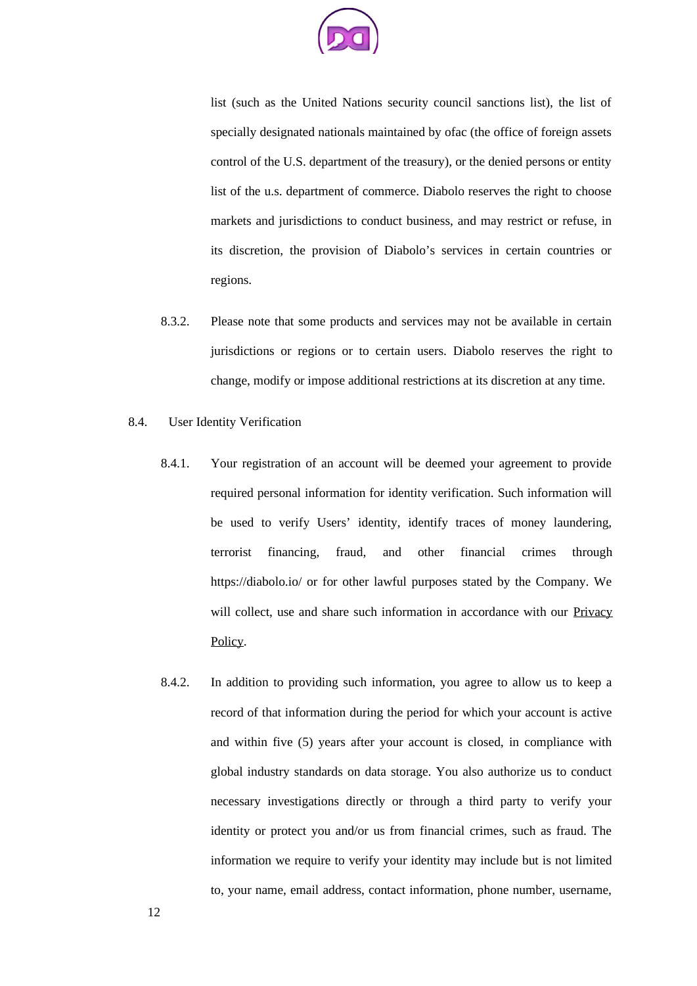

list (such as the United Nations security council sanctions list), the list of specially designated nationals maintained by ofac (the office of foreign assets control of the U.S. department of the treasury), or the denied persons or entity list of the u.s. department of commerce. Diabolo reserves the right to choose markets and jurisdictions to conduct business, and may restrict or refuse, in its discretion, the provision of Diabolo's services in certain countries or regions.

- 8.3.2. Please note that some products and services may not be available in certain jurisdictions or regions or to certain users. Diabolo reserves the right to change, modify or impose additional restrictions at its discretion at any time.
- 8.4. User Identity Verification
	- 8.4.1. Your registration of an account will be deemed your agreement to provide required personal information for identity verification. Such information will be used to verify Users' identity, identify traces of money laundering, terrorist financing, fraud, and other financial crimes through https://diabolo.io/ or for other lawful purposes stated by the Company. We will collect, use and share such information in accordance with our Privacy Policy.
	- 8.4.2. In addition to providing such information, you agree to allow us to keep a record of that information during the period for which your account is active and within five (5) years after your account is closed, in compliance with global industry standards on data storage. You also authorize us to conduct necessary investigations directly or through a third party to verify your identity or protect you and/or us from financial crimes, such as fraud. The information we require to verify your identity may include but is not limited to, your name, email address, contact information, phone number, username,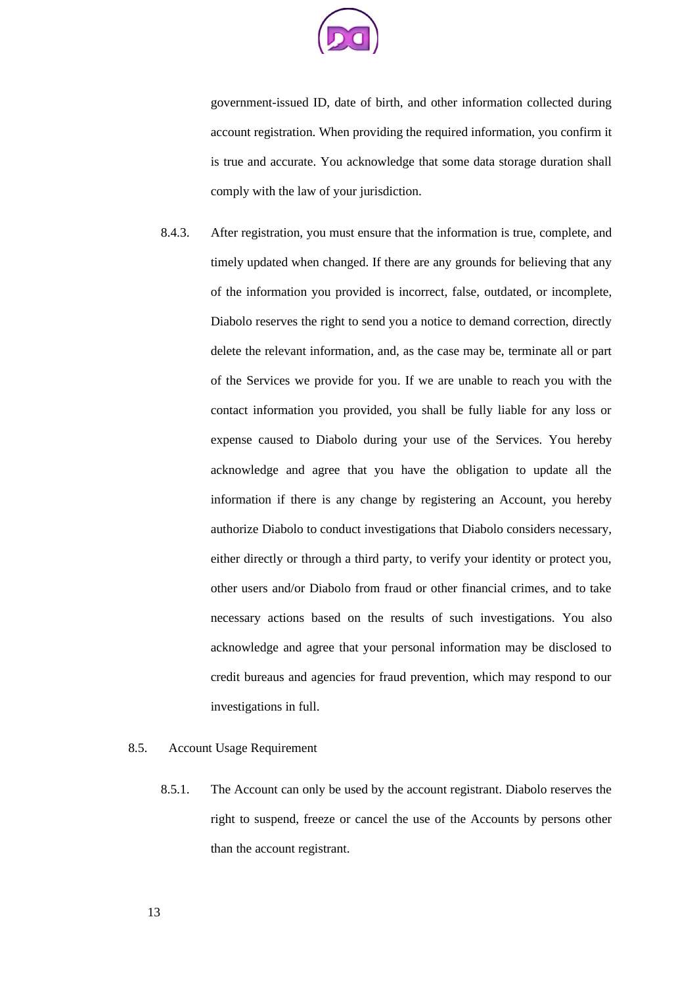

government-issued ID, date of birth, and other information collected during account registration. When providing the required information, you confirm it is true and accurate. You acknowledge that some data storage duration shall comply with the law of your jurisdiction.

8.4.3. After registration, you must ensure that the information is true, complete, and timely updated when changed. If there are any grounds for believing that any of the information you provided is incorrect, false, outdated, or incomplete, Diabolo reserves the right to send you a notice to demand correction, directly delete the relevant information, and, as the case may be, terminate all or part of the Services we provide for you. If we are unable to reach you with the contact information you provided, you shall be fully liable for any loss or expense caused to Diabolo during your use of the Services. You hereby acknowledge and agree that you have the obligation to update all the information if there is any change by registering an Account, you hereby authorize Diabolo to conduct investigations that Diabolo considers necessary, either directly or through a third party, to verify your identity or protect you, other users and/or Diabolo from fraud or other financial crimes, and to take necessary actions based on the results of such investigations. You also acknowledge and agree that your personal information may be disclosed to credit bureaus and agencies for fraud prevention, which may respond to our investigations in full.

### 8.5. Account Usage Requirement

8.5.1. The Account can only be used by the account registrant. Diabolo reserves the right to suspend, freeze or cancel the use of the Accounts by persons other than the account registrant.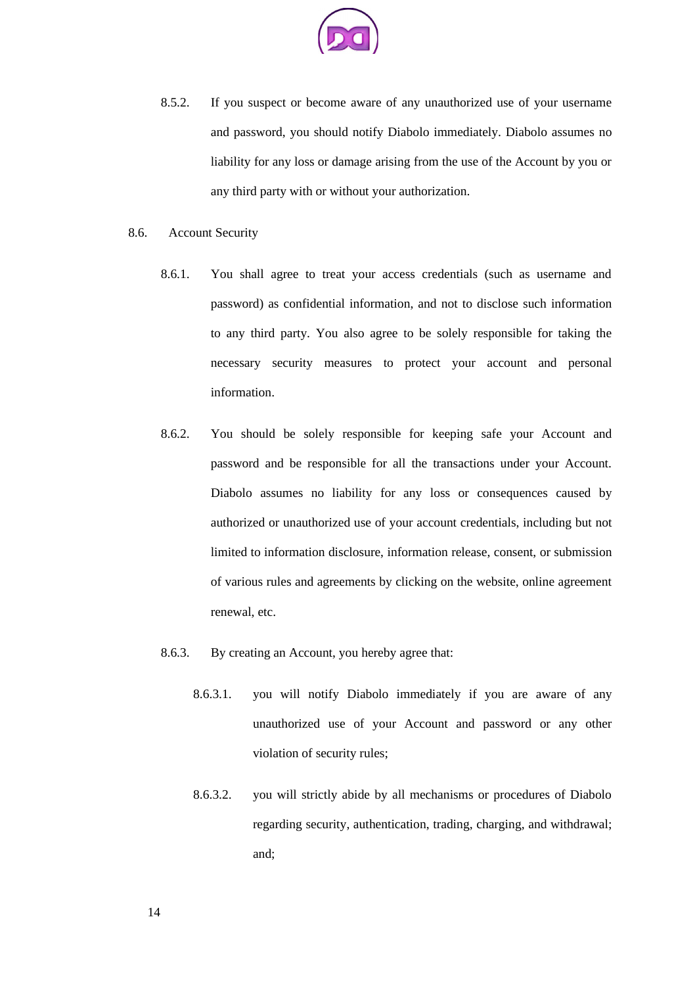

8.5.2. If you suspect or become aware of any unauthorized use of your username and password, you should notify Diabolo immediately. Diabolo assumes no liability for any loss or damage arising from the use of the Account by you or any third party with or without your authorization.

#### 8.6. Account Security

- 8.6.1. You shall agree to treat your access credentials (such as username and password) as confidential information, and not to disclose such information to any third party. You also agree to be solely responsible for taking the necessary security measures to protect your account and personal information.
- 8.6.2. You should be solely responsible for keeping safe your Account and password and be responsible for all the transactions under your Account. Diabolo assumes no liability for any loss or consequences caused by authorized or unauthorized use of your account credentials, including but not limited to information disclosure, information release, consent, or submission of various rules and agreements by clicking on the website, online agreement renewal, etc.
- 8.6.3. By creating an Account, you hereby agree that:
	- 8.6.3.1. you will notify Diabolo immediately if you are aware of any unauthorized use of your Account and password or any other violation of security rules;
	- 8.6.3.2. you will strictly abide by all mechanisms or procedures of Diabolo regarding security, authentication, trading, charging, and withdrawal; and;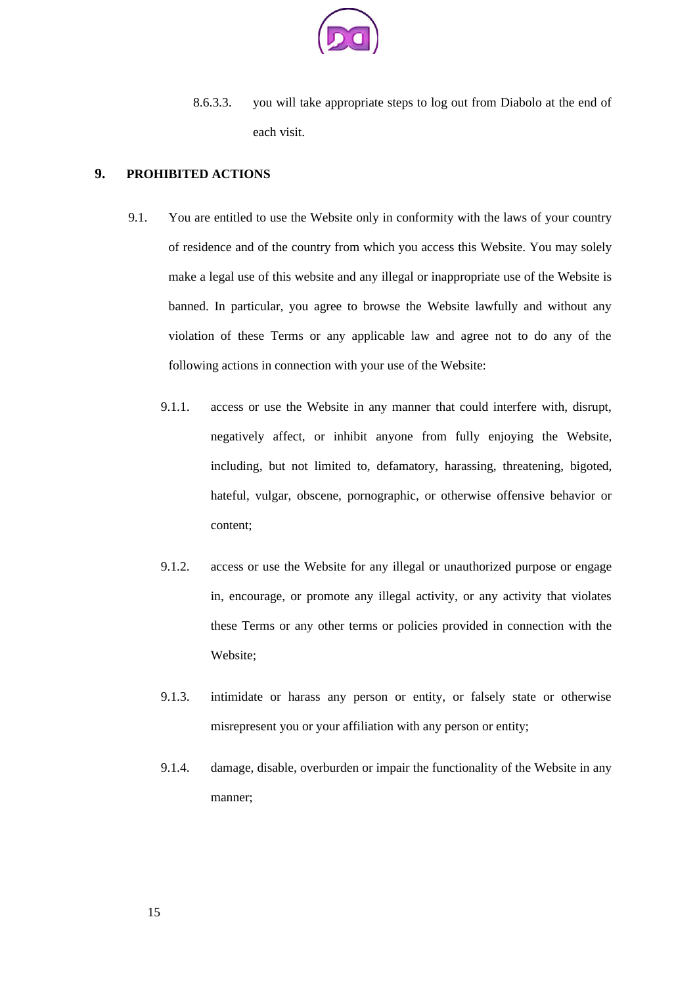

8.6.3.3. you will take appropriate steps to log out from Diabolo at the end of each visit.

### **9. PROHIBITED ACTIONS**

- 9.1. You are entitled to use the Website only in conformity with the laws of your country of residence and of the country from which you access this Website. You may solely make a legal use of this website and any illegal or inappropriate use of the Website is banned. In particular, you agree to browse the Website lawfully and without any violation of these Terms or any applicable law and agree not to do any of the following actions in connection with your use of the Website:
	- 9.1.1. access or use the Website in any manner that could interfere with, disrupt, negatively affect, or inhibit anyone from fully enjoying the Website, including, but not limited to, defamatory, harassing, threatening, bigoted, hateful, vulgar, obscene, pornographic, or otherwise offensive behavior or content;
	- 9.1.2. access or use the Website for any illegal or unauthorized purpose or engage in, encourage, or promote any illegal activity, or any activity that violates these Terms or any other terms or policies provided in connection with the Website;
	- 9.1.3. intimidate or harass any person or entity, or falsely state or otherwise misrepresent you or your affiliation with any person or entity;
	- 9.1.4. damage, disable, overburden or impair the functionality of the Website in any manner;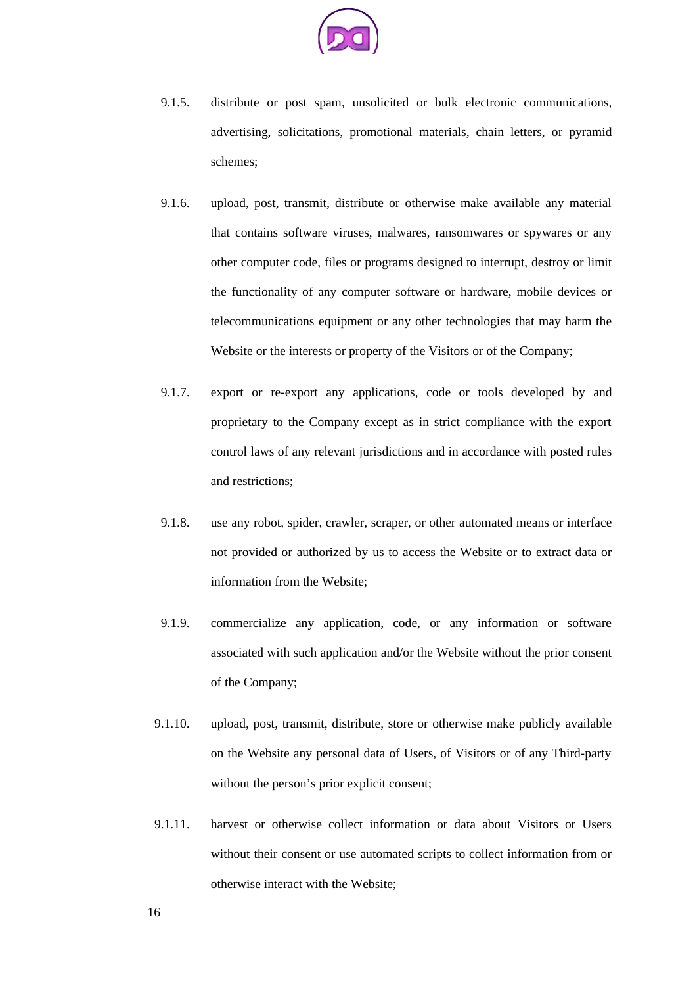

- 9.1.5. distribute or post spam, unsolicited or bulk electronic communications, advertising, solicitations, promotional materials, chain letters, or pyramid schemes;
- 9.1.6. upload, post, transmit, distribute or otherwise make available any material that contains software viruses, malwares, ransomwares or spywares or any other computer code, files or programs designed to interrupt, destroy or limit the functionality of any computer software or hardware, mobile devices or telecommunications equipment or any other technologies that may harm the Website or the interests or property of the Visitors or of the Company;
- 9.1.7. export or re-export any applications, code or tools developed by and proprietary to the Company except as in strict compliance with the export control laws of any relevant jurisdictions and in accordance with posted rules and restrictions;
- 9.1.8. use any robot, spider, crawler, scraper, or other automated means or interface not provided or authorized by us to access the Website or to extract data or information from the Website;
- 9.1.9. commercialize any application, code, or any information or software associated with such application and/or the Website without the prior consent of the Company;
- 9.1.10. upload, post, transmit, distribute, store or otherwise make publicly available on the Website any personal data of Users, of Visitors or of any Third-party without the person's prior explicit consent;
- 9.1.11. harvest or otherwise collect information or data about Visitors or Users without their consent or use automated scripts to collect information from or otherwise interact with the Website;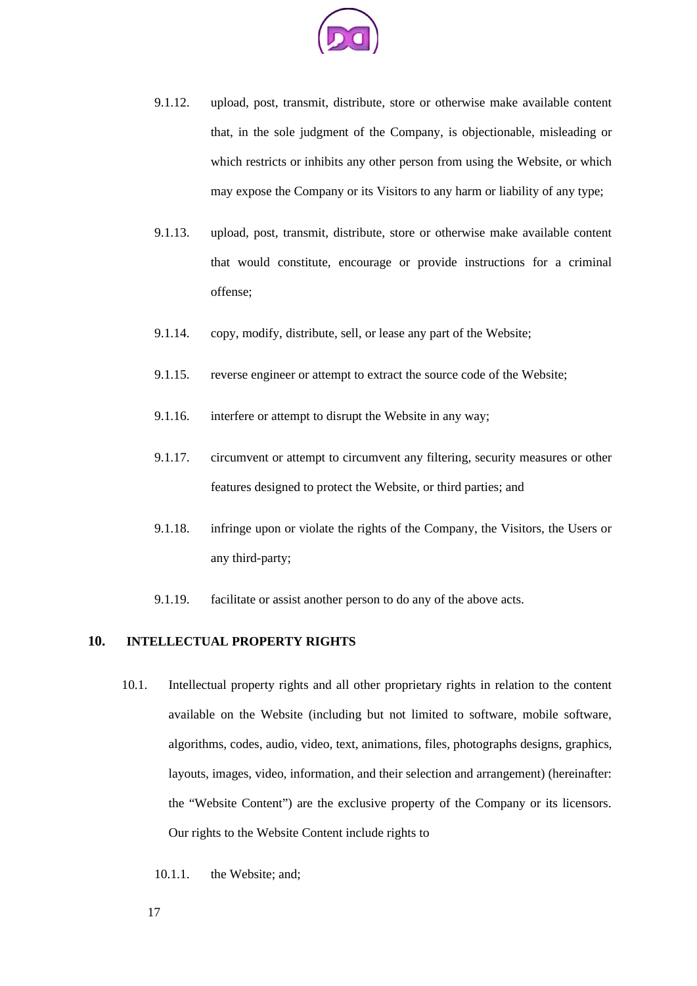

- 9.1.12. upload, post, transmit, distribute, store or otherwise make available content that, in the sole judgment of the Company, is objectionable, misleading or which restricts or inhibits any other person from using the Website, or which may expose the Company or its Visitors to any harm or liability of any type;
- 9.1.13. upload, post, transmit, distribute, store or otherwise make available content that would constitute, encourage or provide instructions for a criminal offense;
- 9.1.14. copy, modify, distribute, sell, or lease any part of the Website;
- 9.1.15. reverse engineer or attempt to extract the source code of the Website;
- 9.1.16. interfere or attempt to disrupt the Website in any way;
- 9.1.17. circumvent or attempt to circumvent any filtering, security measures or other features designed to protect the Website, or third parties; and
- 9.1.18. infringe upon or violate the rights of the Company, the Visitors, the Users or any third-party;
- 9.1.19. facilitate or assist another person to do any of the above acts.

# **10. INTELLECTUAL PROPERTY RIGHTS**

- 10.1. Intellectual property rights and all other proprietary rights in relation to the content available on the Website (including but not limited to software, mobile software, algorithms, codes, audio, video, text, animations, files, photographs designs, graphics, layouts, images, video, information, and their selection and arrangement) (hereinafter: the "Website Content") are the exclusive property of the Company or its licensors. Our rights to the Website Content include rights to
	- 10.1.1. the Website; and;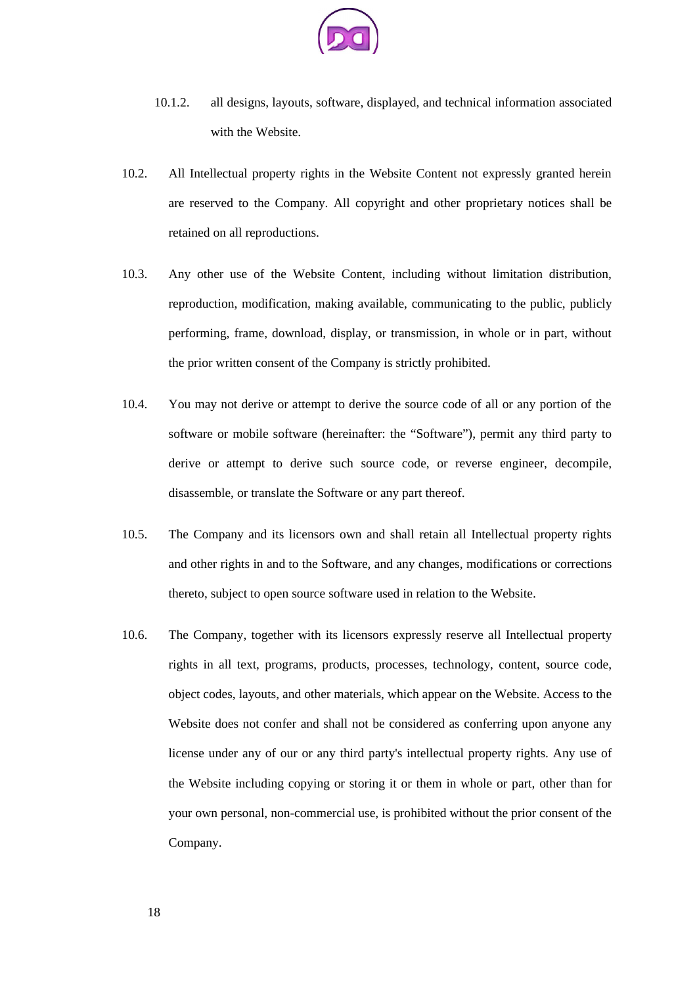

- 10.1.2. all designs, layouts, software, displayed, and technical information associated with the Website.
- 10.2. All Intellectual property rights in the Website Content not expressly granted herein are reserved to the Company. All copyright and other proprietary notices shall be retained on all reproductions.
- 10.3. Any other use of the Website Content, including without limitation distribution, reproduction, modification, making available, communicating to the public, publicly performing, frame, download, display, or transmission, in whole or in part, without the prior written consent of the Company is strictly prohibited.
- 10.4. You may not derive or attempt to derive the source code of all or any portion of the software or mobile software (hereinafter: the "Software"), permit any third party to derive or attempt to derive such source code, or reverse engineer, decompile, disassemble, or translate the Software or any part thereof.
- 10.5. The Company and its licensors own and shall retain all Intellectual property rights and other rights in and to the Software, and any changes, modifications or corrections thereto, subject to open source software used in relation to the Website.
- 10.6. The Company, together with its licensors expressly reserve all Intellectual property rights in all text, programs, products, processes, technology, content, source code, object codes, layouts, and other materials, which appear on the Website. Access to the Website does not confer and shall not be considered as conferring upon anyone any license under any of our or any third party's intellectual property rights. Any use of the Website including copying or storing it or them in whole or part, other than for your own personal, non-commercial use, is prohibited without the prior consent of the Company.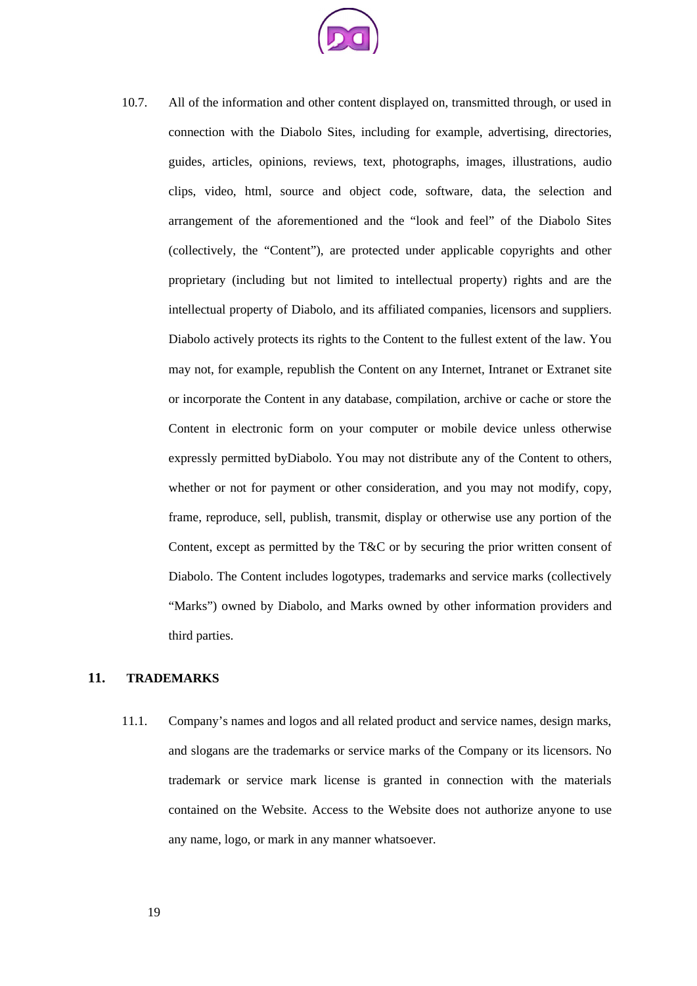

10.7. All of the information and other content displayed on, transmitted through, or used in connection with the Diabolo Sites, including for example, advertising, directories, guides, articles, opinions, reviews, text, photographs, images, illustrations, audio clips, video, html, source and object code, software, data, the selection and arrangement of the aforementioned and the "look and feel" of the Diabolo Sites (collectively, the "Content"), are protected under applicable copyrights and other proprietary (including but not limited to intellectual property) rights and are the intellectual property of Diabolo, and its affiliated companies, licensors and suppliers. Diabolo actively protects its rights to the Content to the fullest extent of the law. You may not, for example, republish the Content on any Internet, Intranet or Extranet site or incorporate the Content in any database, compilation, archive or cache or store the Content in electronic form on your computer or mobile device unless otherwise expressly permitted byDiabolo. You may not distribute any of the Content to others, whether or not for payment or other consideration, and you may not modify, copy, frame, reproduce, sell, publish, transmit, display or otherwise use any portion of the Content, except as permitted by the T&C or by securing the prior written consent of Diabolo. The Content includes logotypes, trademarks and service marks (collectively "Marks") owned by Diabolo, and Marks owned by other information providers and third parties.

# **11. TRADEMARKS**

11.1. Company's names and logos and all related product and service names, design marks, and slogans are the trademarks or service marks of the Company or its licensors. No trademark or service mark license is granted in connection with the materials contained on the Website. Access to the Website does not authorize anyone to use any name, logo, or mark in any manner whatsoever.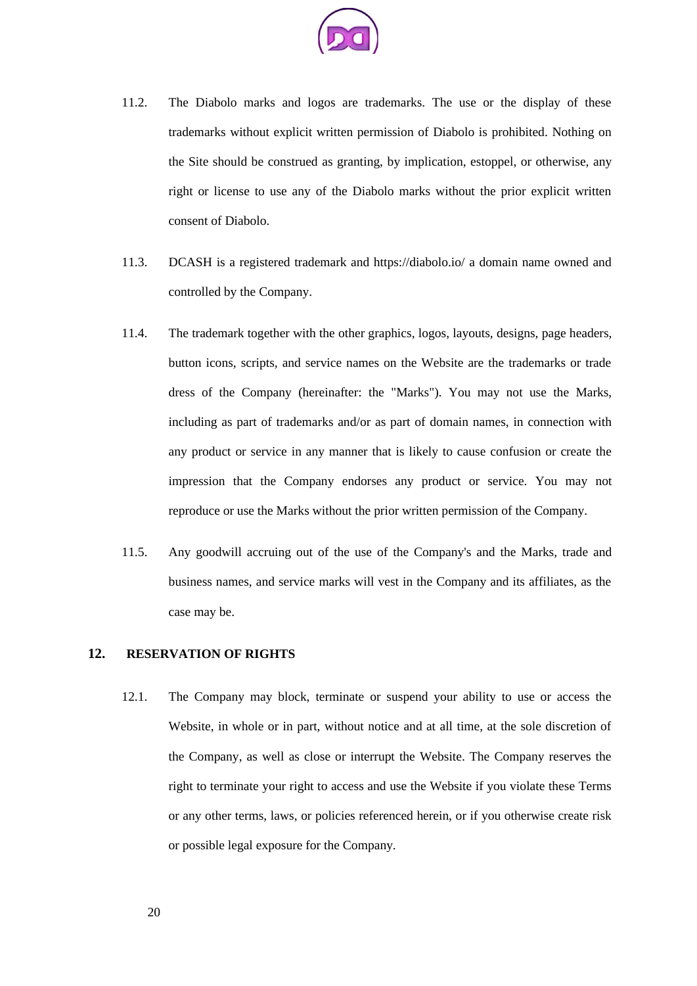

- 11.2. The Diabolo marks and logos are trademarks. The use or the display of these trademarks without explicit written permission of Diabolo is prohibited. Nothing on the Site should be construed as granting, by implication, estoppel, or otherwise, any right or license to use any of the Diabolo marks without the prior explicit written consent of Diabolo.
- 11.3. DCASH is a registered trademark and https://diabolo.io/ a domain name owned and controlled by the Company.
- 11.4. The trademark together with the other graphics, logos, layouts, designs, page headers, button icons, scripts, and service names on the Website are the trademarks or trade dress of the Company (hereinafter: the "Marks"). You may not use the Marks, including as part of trademarks and/or as part of domain names, in connection with any product or service in any manner that is likely to cause confusion or create the impression that the Company endorses any product or service. You may not reproduce or use the Marks without the prior written permission of the Company.
- 11.5. Any goodwill accruing out of the use of the Company's and the Marks, trade and business names, and service marks will vest in the Company and its affiliates, as the case may be.

### **12. RESERVATION OF RIGHTS**

12.1. The Company may block, terminate or suspend your ability to use or access the Website, in whole or in part, without notice and at all time, at the sole discretion of the Company, as well as close or interrupt the Website. The Company reserves the right to terminate your right to access and use the Website if you violate these Terms or any other terms, laws, or policies referenced herein, or if you otherwise create risk or possible legal exposure for the Company.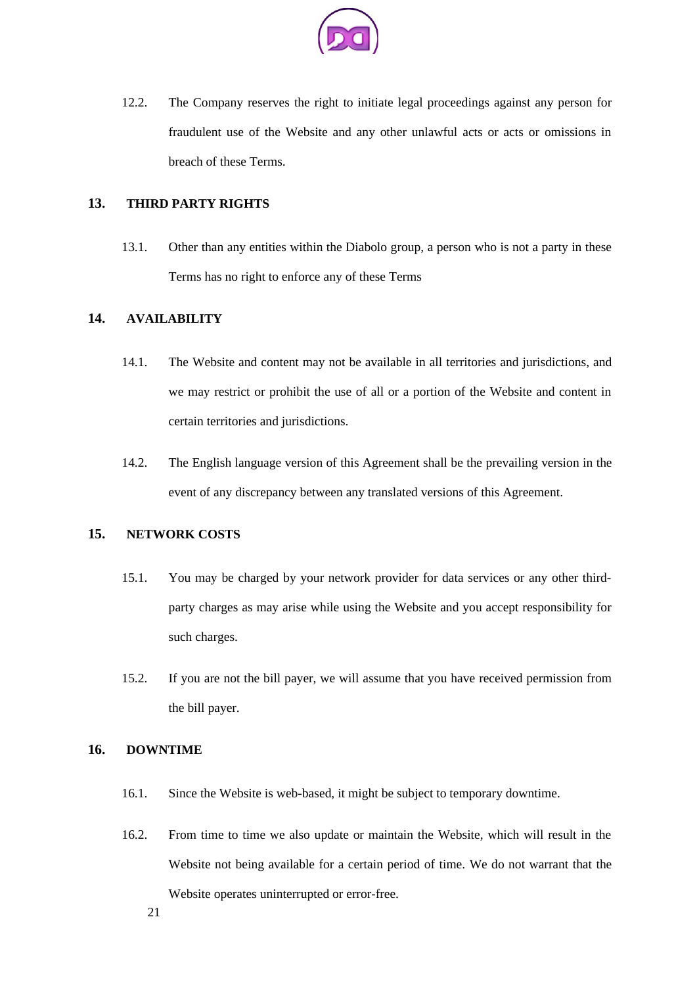

12.2. The Company reserves the right to initiate legal proceedings against any person for fraudulent use of the Website and any other unlawful acts or acts or omissions in breach of these Terms.

# **13. THIRD PARTY RIGHTS**

13.1. Other than any entities within the Diabolo group, a person who is not a party in these Terms has no right to enforce any of these Terms

# **14. AVAILABILITY**

- 14.1. The Website and content may not be available in all territories and jurisdictions, and we may restrict or prohibit the use of all or a portion of the Website and content in certain territories and jurisdictions.
- 14.2. The English language version of this Agreement shall be the prevailing version in the event of any discrepancy between any translated versions of this Agreement.

### **15. NETWORK COSTS**

- 15.1. You may be charged by your network provider for data services or any other thirdparty charges as may arise while using the Website and you accept responsibility for such charges.
- 15.2. If you are not the bill payer, we will assume that you have received permission from the bill payer.

### **16. DOWNTIME**

- 16.1. Since the Website is web-based, it might be subject to temporary downtime.
- 16.2. From time to time we also update or maintain the Website, which will result in the Website not being available for a certain period of time. We do not warrant that the Website operates uninterrupted or error-free.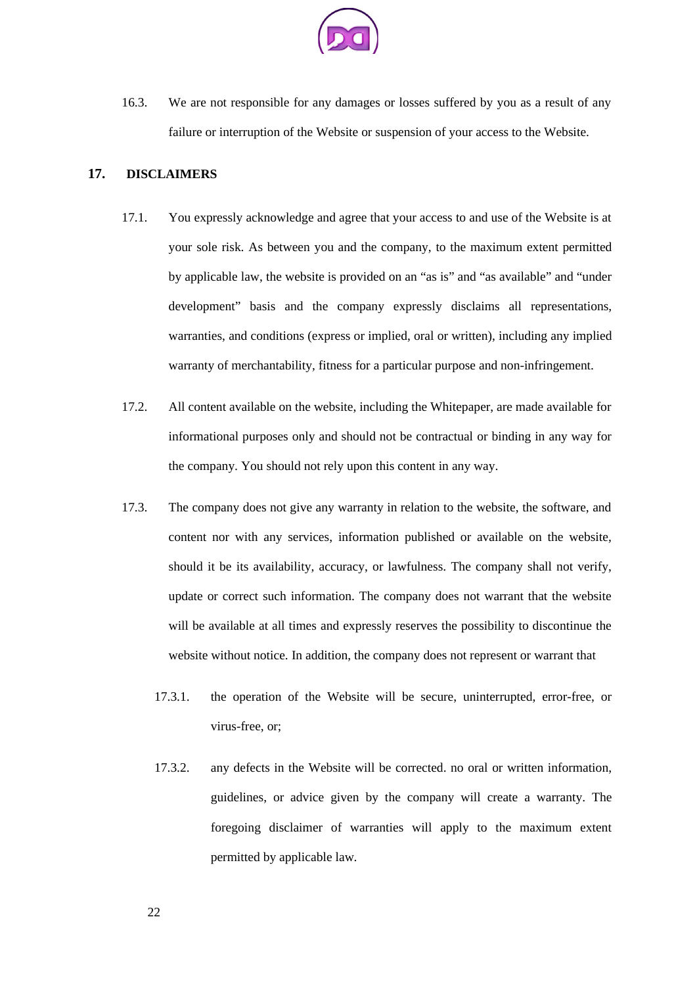

16.3. We are not responsible for any damages or losses suffered by you as a result of any failure or interruption of the Website or suspension of your access to the Website.

### **17. DISCLAIMERS**

- 17.1. You expressly acknowledge and agree that your access to and use of the Website is at your sole risk. As between you and the company, to the maximum extent permitted by applicable law, the website is provided on an "as is" and "as available" and "under development" basis and the company expressly disclaims all representations, warranties, and conditions (express or implied, oral or written), including any implied warranty of merchantability, fitness for a particular purpose and non-infringement.
- 17.2. All content available on the website, including the Whitepaper, are made available for informational purposes only and should not be contractual or binding in any way for the company. You should not rely upon this content in any way.
- 17.3. The company does not give any warranty in relation to the website, the software, and content nor with any services, information published or available on the website, should it be its availability, accuracy, or lawfulness. The company shall not verify, update or correct such information. The company does not warrant that the website will be available at all times and expressly reserves the possibility to discontinue the website without notice. In addition, the company does not represent or warrant that
	- 17.3.1. the operation of the Website will be secure, uninterrupted, error-free, or virus-free, or;
	- 17.3.2. any defects in the Website will be corrected. no oral or written information, guidelines, or advice given by the company will create a warranty. The foregoing disclaimer of warranties will apply to the maximum extent permitted by applicable law.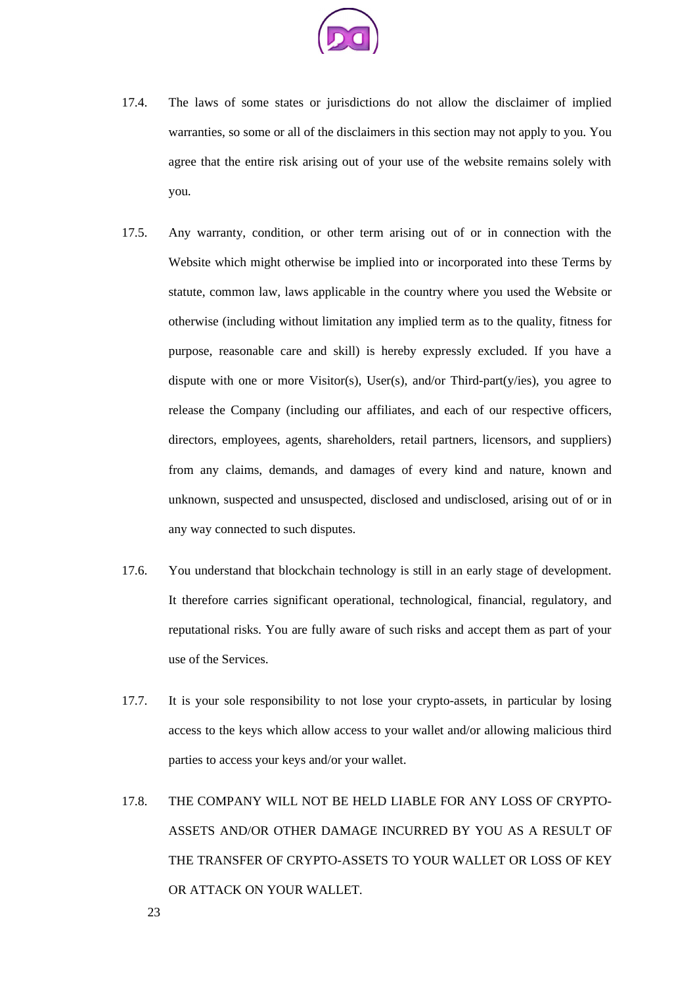

- 17.4. The laws of some states or jurisdictions do not allow the disclaimer of implied warranties, so some or all of the disclaimers in this section may not apply to you. You agree that the entire risk arising out of your use of the website remains solely with you.
- 17.5. Any warranty, condition, or other term arising out of or in connection with the Website which might otherwise be implied into or incorporated into these Terms by statute, common law, laws applicable in the country where you used the Website or otherwise (including without limitation any implied term as to the quality, fitness for purpose, reasonable care and skill) is hereby expressly excluded. If you have a dispute with one or more Visitor(s), User(s), and/or Third-part(y/ies), you agree to release the Company (including our affiliates, and each of our respective officers, directors, employees, agents, shareholders, retail partners, licensors, and suppliers) from any claims, demands, and damages of every kind and nature, known and unknown, suspected and unsuspected, disclosed and undisclosed, arising out of or in any way connected to such disputes.
- 17.6. You understand that blockchain technology is still in an early stage of development. It therefore carries significant operational, technological, financial, regulatory, and reputational risks. You are fully aware of such risks and accept them as part of your use of the Services.
- 17.7. It is your sole responsibility to not lose your crypto-assets, in particular by losing access to the keys which allow access to your wallet and/or allowing malicious third parties to access your keys and/or your wallet.
- 17.8. THE COMPANY WILL NOT BE HELD LIABLE FOR ANY LOSS OF CRYPTO-ASSETS AND/OR OTHER DAMAGE INCURRED BY YOU AS A RESULT OF THE TRANSFER OF CRYPTO-ASSETS TO YOUR WALLET OR LOSS OF KEY OR ATTACK ON YOUR WALLET.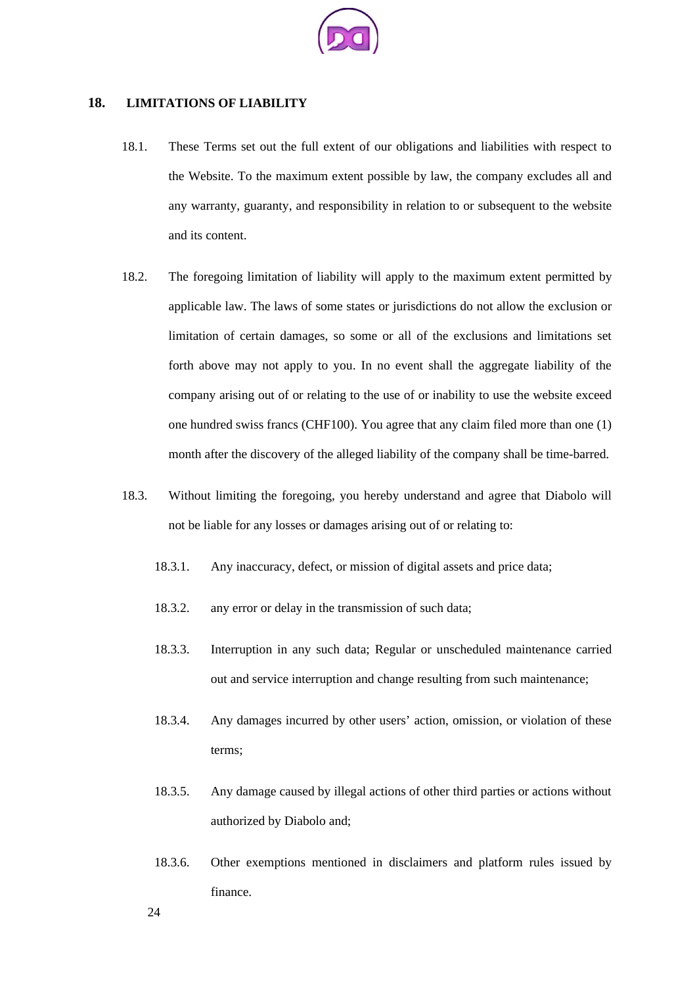

### **18. LIMITATIONS OF LIABILITY**

- 18.1. These Terms set out the full extent of our obligations and liabilities with respect to the Website. To the maximum extent possible by law, the company excludes all and any warranty, guaranty, and responsibility in relation to or subsequent to the website and its content.
- 18.2. The foregoing limitation of liability will apply to the maximum extent permitted by applicable law. The laws of some states or jurisdictions do not allow the exclusion or limitation of certain damages, so some or all of the exclusions and limitations set forth above may not apply to you. In no event shall the aggregate liability of the company arising out of or relating to the use of or inability to use the website exceed one hundred swiss francs (CHF100). You agree that any claim filed more than one (1) month after the discovery of the alleged liability of the company shall be time-barred.
- 18.3. Without limiting the foregoing, you hereby understand and agree that Diabolo will not be liable for any losses or damages arising out of or relating to:
	- 18.3.1. Any inaccuracy, defect, or mission of digital assets and price data;
	- 18.3.2. any error or delay in the transmission of such data;
	- 18.3.3. Interruption in any such data; Regular or unscheduled maintenance carried out and service interruption and change resulting from such maintenance;
	- 18.3.4. Any damages incurred by other users' action, omission, or violation of these terms;
	- 18.3.5. Any damage caused by illegal actions of other third parties or actions without authorized by Diabolo and;
	- 18.3.6. Other exemptions mentioned in disclaimers and platform rules issued by finance.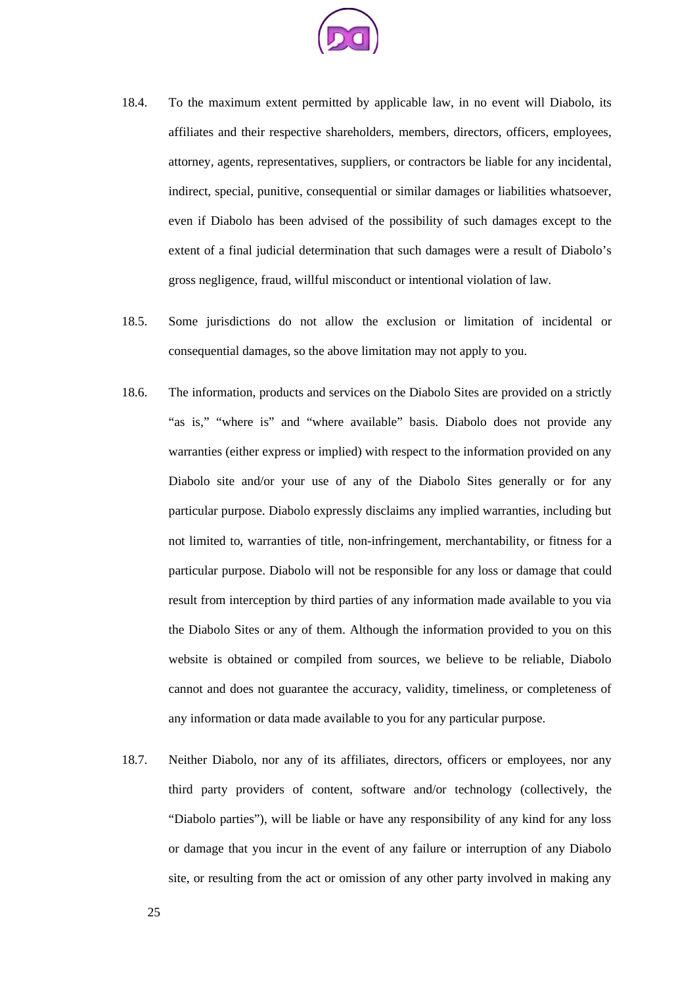

- 18.4. To the maximum extent permitted by applicable law, in no event will Diabolo, its affiliates and their respective shareholders, members, directors, officers, employees, attorney, agents, representatives, suppliers, or contractors be liable for any incidental, indirect, special, punitive, consequential or similar damages or liabilities whatsoever, even if Diabolo has been advised of the possibility of such damages except to the extent of a final judicial determination that such damages were a result of Diabolo's gross negligence, fraud, willful misconduct or intentional violation of law.
- 18.5. Some jurisdictions do not allow the exclusion or limitation of incidental or consequential damages, so the above limitation may not apply to you.
- 18.6. The information, products and services on the Diabolo Sites are provided on a strictly "as is," "where is" and "where available" basis. Diabolo does not provide any warranties (either express or implied) with respect to the information provided on any Diabolo site and/or your use of any of the Diabolo Sites generally or for any particular purpose. Diabolo expressly disclaims any implied warranties, including but not limited to, warranties of title, non-infringement, merchantability, or fitness for a particular purpose. Diabolo will not be responsible for any loss or damage that could result from interception by third parties of any information made available to you via the Diabolo Sites or any of them. Although the information provided to you on this website is obtained or compiled from sources, we believe to be reliable, Diabolo cannot and does not guarantee the accuracy, validity, timeliness, or completeness of any information or data made available to you for any particular purpose.
- 18.7. Neither Diabolo, nor any of its affiliates, directors, officers or employees, nor any third party providers of content, software and/or technology (collectively, the "Diabolo parties"), will be liable or have any responsibility of any kind for any loss or damage that you incur in the event of any failure or interruption of any Diabolo site, or resulting from the act or omission of any other party involved in making any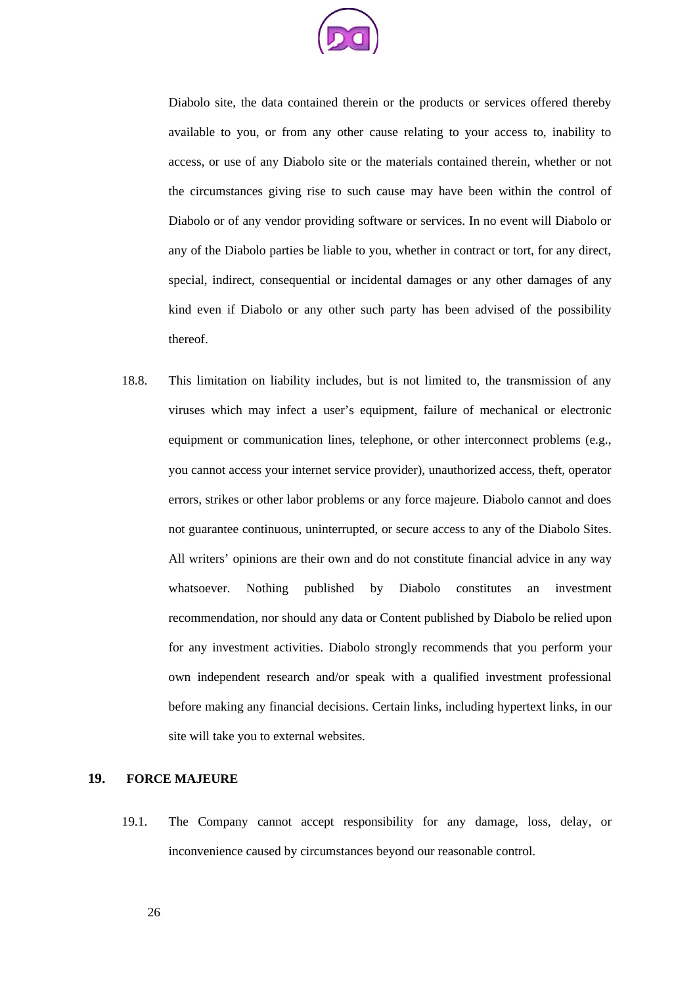

Diabolo site, the data contained therein or the products or services offered thereby available to you, or from any other cause relating to your access to, inability to access, or use of any Diabolo site or the materials contained therein, whether or not the circumstances giving rise to such cause may have been within the control of Diabolo or of any vendor providing software or services. In no event will Diabolo or any of the Diabolo parties be liable to you, whether in contract or tort, for any direct, special, indirect, consequential or incidental damages or any other damages of any kind even if Diabolo or any other such party has been advised of the possibility thereof.

18.8. This limitation on liability includes, but is not limited to, the transmission of any viruses which may infect a user's equipment, failure of mechanical or electronic equipment or communication lines, telephone, or other interconnect problems (e.g., you cannot access your internet service provider), unauthorized access, theft, operator errors, strikes or other labor problems or any force majeure. Diabolo cannot and does not guarantee continuous, uninterrupted, or secure access to any of the Diabolo Sites. All writers' opinions are their own and do not constitute financial advice in any way whatsoever. Nothing published by Diabolo constitutes an investment recommendation, nor should any data or Content published by Diabolo be relied upon for any investment activities. Diabolo strongly recommends that you perform your own independent research and/or speak with a qualified investment professional before making any financial decisions. Certain links, including hypertext links, in our site will take you to external websites.

### **19. FORCE MAJEURE**

19.1. The Company cannot accept responsibility for any damage, loss, delay, or inconvenience caused by circumstances beyond our reasonable control.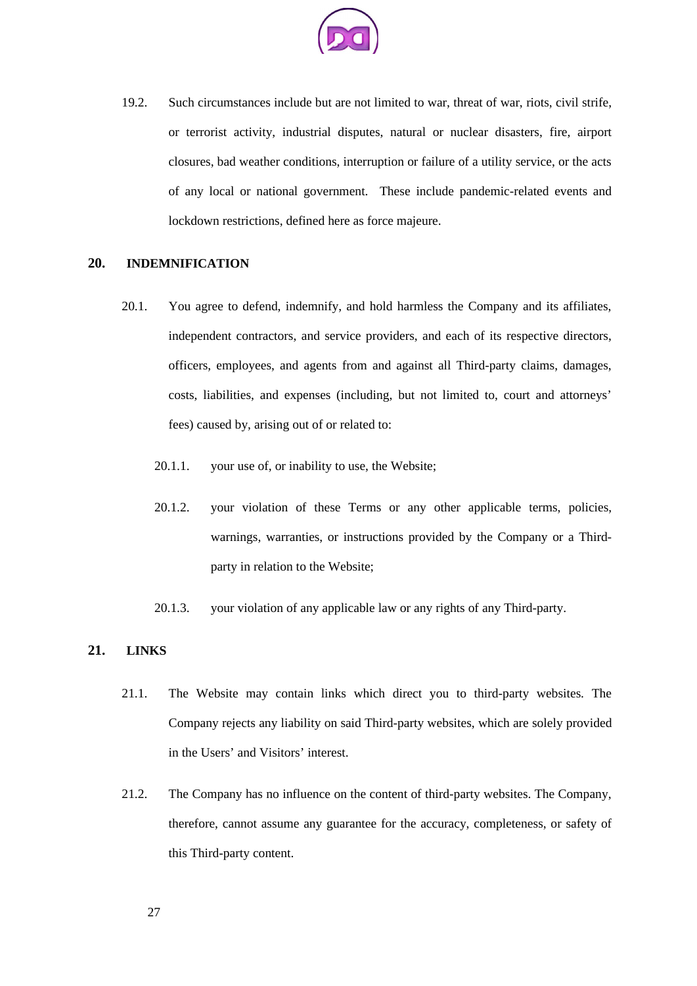

19.2. Such circumstances include but are not limited to war, threat of war, riots, civil strife, or terrorist activity, industrial disputes, natural or nuclear disasters, fire, airport closures, bad weather conditions, interruption or failure of a utility service, or the acts of any local or national government. These include pandemic-related events and lockdown restrictions, defined here as force majeure.

# **20. INDEMNIFICATION**

- 20.1. You agree to defend, indemnify, and hold harmless the Company and its affiliates, independent contractors, and service providers, and each of its respective directors, officers, employees, and agents from and against all Third-party claims, damages, costs, liabilities, and expenses (including, but not limited to, court and attorneys' fees) caused by, arising out of or related to:
	- 20.1.1. your use of, or inability to use, the Website;
	- 20.1.2. your violation of these Terms or any other applicable terms, policies, warnings, warranties, or instructions provided by the Company or a Thirdparty in relation to the Website;
	- 20.1.3. your violation of any applicable law or any rights of any Third-party.

### **21. LINKS**

- 21.1. The Website may contain links which direct you to third-party websites. The Company rejects any liability on said Third-party websites, which are solely provided in the Users' and Visitors' interest.
- 21.2. The Company has no influence on the content of third-party websites. The Company, therefore, cannot assume any guarantee for the accuracy, completeness, or safety of this Third-party content.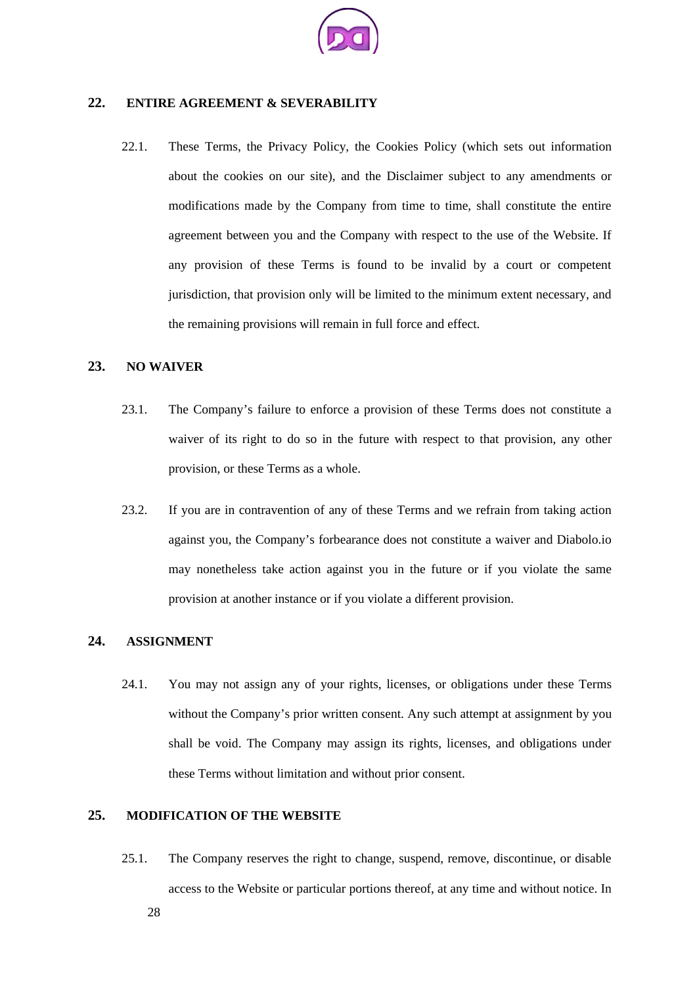

# **22. ENTIRE AGREEMENT & SEVERABILITY**

22.1. These Terms, the Privacy Policy, the Cookies Policy (which sets out information about the cookies on our site), and the Disclaimer subject to any amendments or modifications made by the Company from time to time, shall constitute the entire agreement between you and the Company with respect to the use of the Website. If any provision of these Terms is found to be invalid by a court or competent jurisdiction, that provision only will be limited to the minimum extent necessary, and the remaining provisions will remain in full force and effect.

# **23. NO WAIVER**

- 23.1. The Company's failure to enforce a provision of these Terms does not constitute a waiver of its right to do so in the future with respect to that provision, any other provision, or these Terms as a whole.
- 23.2. If you are in contravention of any of these Terms and we refrain from taking action against you, the Company's forbearance does not constitute a waiver and Diabolo.io may nonetheless take action against you in the future or if you violate the same provision at another instance or if you violate a different provision.

### **24. ASSIGNMENT**

24.1. You may not assign any of your rights, licenses, or obligations under these Terms without the Company's prior written consent. Any such attempt at assignment by you shall be void. The Company may assign its rights, licenses, and obligations under these Terms without limitation and without prior consent.

## **25. MODIFICATION OF THE WEBSITE**

25.1. The Company reserves the right to change, suspend, remove, discontinue, or disable access to the Website or particular portions thereof, at any time and without notice. In 28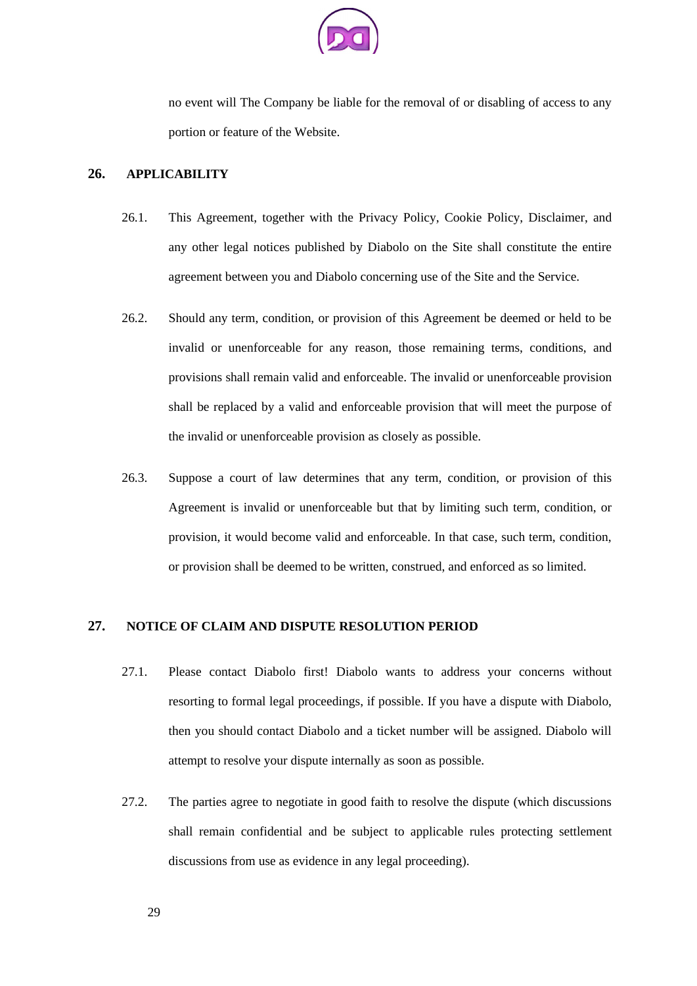

no event will The Company be liable for the removal of or disabling of access to any portion or feature of the Website.

### **26. APPLICABILITY**

- 26.1. This Agreement, together with the Privacy Policy, Cookie Policy, Disclaimer, and any other legal notices published by Diabolo on the Site shall constitute the entire agreement between you and Diabolo concerning use of the Site and the Service.
- 26.2. Should any term, condition, or provision of this Agreement be deemed or held to be invalid or unenforceable for any reason, those remaining terms, conditions, and provisions shall remain valid and enforceable. The invalid or unenforceable provision shall be replaced by a valid and enforceable provision that will meet the purpose of the invalid or unenforceable provision as closely as possible.
- 26.3. Suppose a court of law determines that any term, condition, or provision of this Agreement is invalid or unenforceable but that by limiting such term, condition, or provision, it would become valid and enforceable. In that case, such term, condition, or provision shall be deemed to be written, construed, and enforced as so limited.

# **27. NOTICE OF CLAIM AND DISPUTE RESOLUTION PERIOD**

- 27.1. Please contact Diabolo first! Diabolo wants to address your concerns without resorting to formal legal proceedings, if possible. If you have a dispute with Diabolo, then you should contact Diabolo and a ticket number will be assigned. Diabolo will attempt to resolve your dispute internally as soon as possible.
- 27.2. The parties agree to negotiate in good faith to resolve the dispute (which discussions shall remain confidential and be subject to applicable rules protecting settlement discussions from use as evidence in any legal proceeding).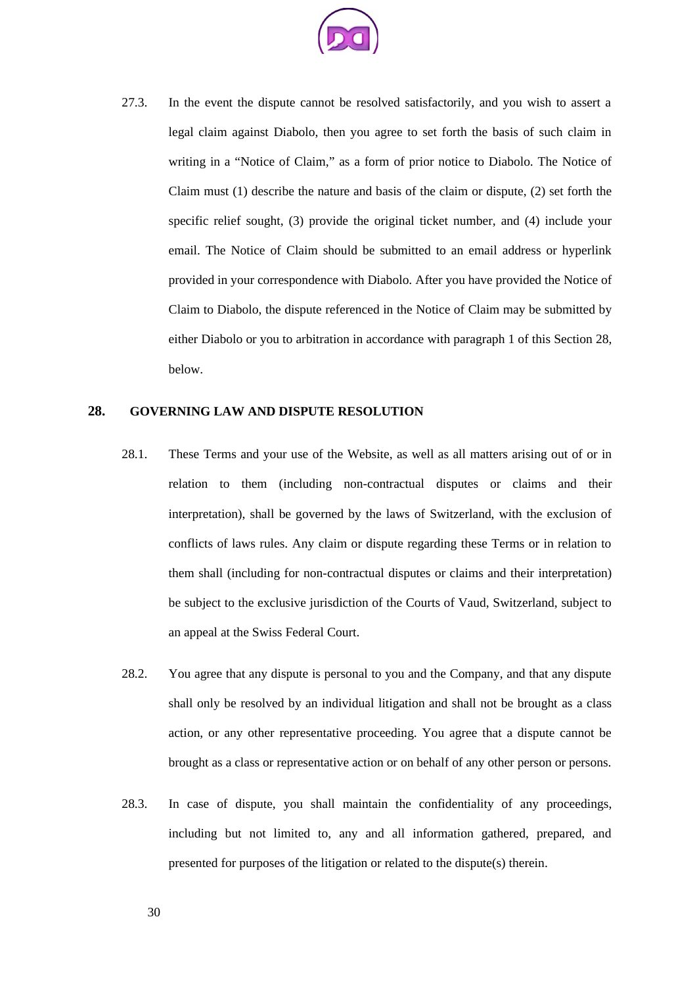

27.3. In the event the dispute cannot be resolved satisfactorily, and you wish to assert a legal claim against Diabolo, then you agree to set forth the basis of such claim in writing in a "Notice of Claim," as a form of prior notice to Diabolo. The Notice of Claim must (1) describe the nature and basis of the claim or dispute, (2) set forth the specific relief sought, (3) provide the original ticket number, and (4) include your email. The Notice of Claim should be submitted to an email address or hyperlink provided in your correspondence with Diabolo. After you have provided the Notice of Claim to Diabolo, the dispute referenced in the Notice of Claim may be submitted by either Diabolo or you to arbitration in accordance with paragraph 1 of this Section 28, below.

### **28. GOVERNING LAW AND DISPUTE RESOLUTION**

- 28.1. These Terms and your use of the Website, as well as all matters arising out of or in relation to them (including non-contractual disputes or claims and their interpretation), shall be governed by the laws of Switzerland, with the exclusion of conflicts of laws rules. Any claim or dispute regarding these Terms or in relation to them shall (including for non-contractual disputes or claims and their interpretation) be subject to the exclusive jurisdiction of the Courts of Vaud, Switzerland, subject to an appeal at the Swiss Federal Court.
- 28.2. You agree that any dispute is personal to you and the Company, and that any dispute shall only be resolved by an individual litigation and shall not be brought as a class action, or any other representative proceeding. You agree that a dispute cannot be brought as a class or representative action or on behalf of any other person or persons.
- 28.3. In case of dispute, you shall maintain the confidentiality of any proceedings, including but not limited to, any and all information gathered, prepared, and presented for purposes of the litigation or related to the dispute(s) therein.